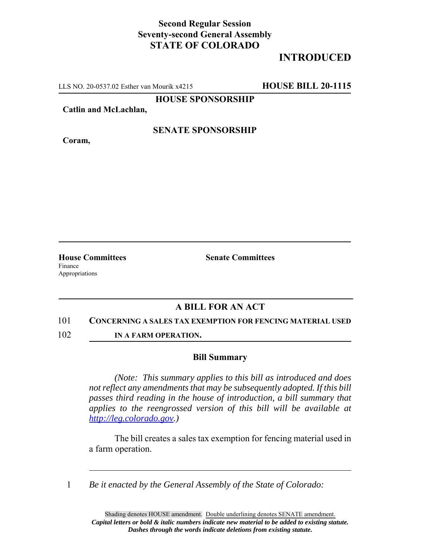## **Second Regular Session Seventy-second General Assembly STATE OF COLORADO**

# **INTRODUCED**

LLS NO. 20-0537.02 Esther van Mourik x4215 **HOUSE BILL 20-1115**

**HOUSE SPONSORSHIP**

**Catlin and McLachlan,**

**Coram,**

### **SENATE SPONSORSHIP**

**House Committees Senate Committees** Finance Appropriations

### **A BILL FOR AN ACT**

#### 101 **CONCERNING A SALES TAX EXEMPTION FOR FENCING MATERIAL USED**

102 **IN A FARM OPERATION.**

#### **Bill Summary**

*(Note: This summary applies to this bill as introduced and does not reflect any amendments that may be subsequently adopted. If this bill passes third reading in the house of introduction, a bill summary that applies to the reengrossed version of this bill will be available at http://leg.colorado.gov.)*

The bill creates a sales tax exemption for fencing material used in a farm operation.

1 *Be it enacted by the General Assembly of the State of Colorado:*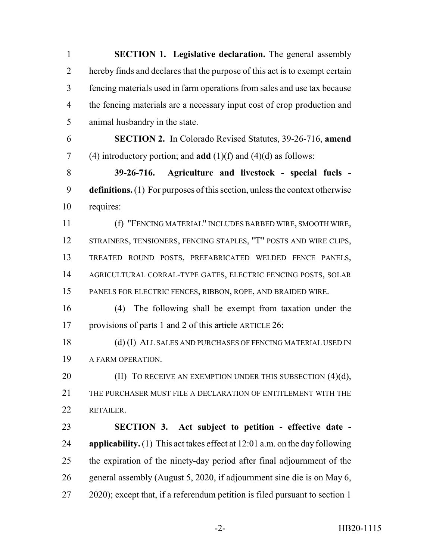**SECTION 1. Legislative declaration.** The general assembly hereby finds and declares that the purpose of this act is to exempt certain fencing materials used in farm operations from sales and use tax because the fencing materials are a necessary input cost of crop production and animal husbandry in the state. **SECTION 2.** In Colorado Revised Statutes, 39-26-716, **amend** (4) introductory portion; and **add** (1)(f) and (4)(d) as follows: **39-26-716. Agriculture and livestock - special fuels - definitions.** (1) For purposes of this section, unless the context otherwise requires: (f) "FENCING MATERIAL" INCLUDES BARBED WIRE, SMOOTH WIRE, STRAINERS, TENSIONERS, FENCING STAPLES, "T" POSTS AND WIRE CLIPS, TREATED ROUND POSTS, PREFABRICATED WELDED FENCE PANELS, AGRICULTURAL CORRAL-TYPE GATES, ELECTRIC FENCING POSTS, SOLAR PANELS FOR ELECTRIC FENCES, RIBBON, ROPE, AND BRAIDED WIRE. (4) The following shall be exempt from taxation under the provisions of parts 1 and 2 of this article ARTICLE 26: 18 (d) (I) ALL SALES AND PURCHASES OF FENCING MATERIAL USED IN A FARM OPERATION. **(II)** TO RECEIVE AN EXEMPTION UNDER THIS SUBSECTION (4)(d), THE PURCHASER MUST FILE A DECLARATION OF ENTITLEMENT WITH THE RETAILER. **SECTION 3. Act subject to petition - effective date - applicability.** (1) This act takes effect at 12:01 a.m. on the day following the expiration of the ninety-day period after final adjournment of the general assembly (August 5, 2020, if adjournment sine die is on May 6, 2020); except that, if a referendum petition is filed pursuant to section 1